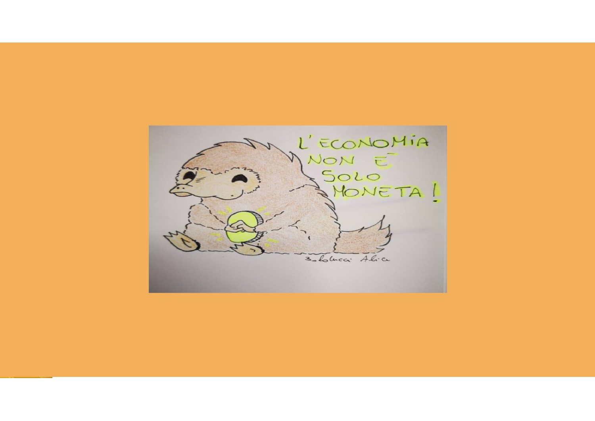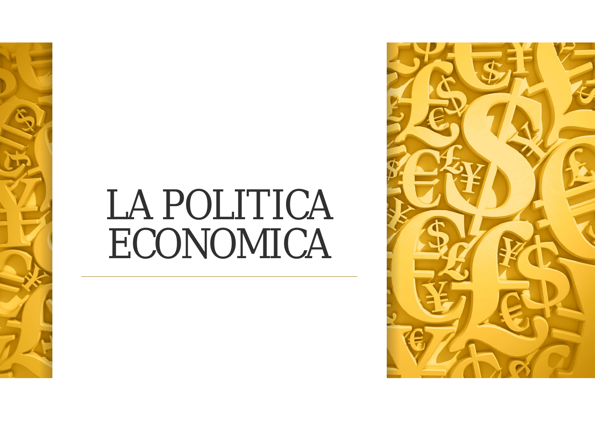

# LA POLITICA ECONOMICA

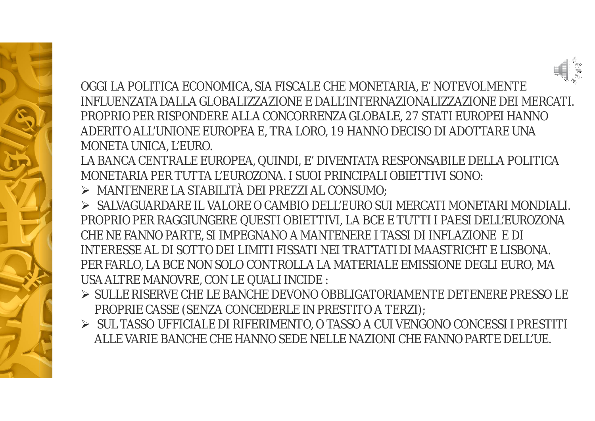

OGGI LA POLITICA ECONOMICA, SIA FISCALE CHE MONETARIA, E' NOTEVOLMENTE INFI UFNZATA DAI I A GLOBALIZZAZIONE E DALL'INTERNAZIONALIZZAZIONE DEI MERCATI. PROPRIO PER RISPONDERE ALLA CONCORRENZA GLOBALE, 27 STATI EUROPEI HANNO ADERITO ALL'UNIONE EUROPEA E, TRA LORO, 19 HANNO DECISO DI ADOTTARE UNA MONETA UNICA, L'EURO.

LA BANCA CENTRALE EUROPEA, QUINDI, E' DIVENTATA RESPONSABILE DELLA POLITICA MONETARIA PER TUTTA L'EUROZONA. I SUOI PRINCIPALI OBIETTIVI SONO:

- $\triangleright$  MANTENERE LA STABILITÀ DEI PREZZI AL CONSUMO;
- > SALVAGUARDARE IL VALORE O CAMBIO DELL'EURO SUI MERCATI MONETARI MONDIALI. PROPRIO PER RAGGIUNGERE QUESTI OBIETTIVI, LA BCE E TUTTI I PAESI DELL'EUROZONA CHE NE FANNO PARTE, SI IMPEGNANO A MANTENERE I TASSI DI INFLAZIONE E DI INTERESSE AL DI SOTTO DEI LIMITI FISSATI NEI TRATTATI DI MAASTRICHT E LISBONA. PER FARLO, LA BCE NON SOLO CONTROLLA LA MATERIALE EMISSIONE DEGLI EURO, MA USA ALTRE MANOVRE, CON LE QUALI INCIDE :
- > SULLE RISERVE CHE LE BANCHE DEVONO OBBLIGATORIAMENTE DETENERE PRESSO LE PROPRIE CASSE (SENZA CONCEDERLE IN PRESTITO A TERZI);
- > SUL TASSO UFFICIALE DI RIFERIMENTO, O TASSO A CUI VENGONO CONCESSI I PRESTITI ALLE VARIE BANCHE CHE HANNO SEDE NELLE NAZIONI CHE FANNO PARTE DELL'UE.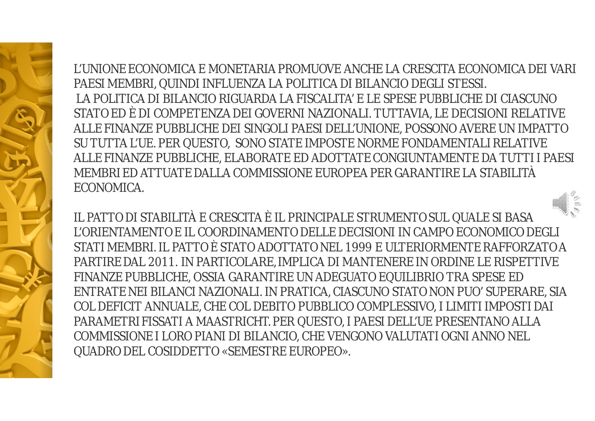L'UNIONE FCONOMICA E MONETARIA PROMUOVE ANCHE LA CRESCITA FCONOMICA DELVARI PAESI MEMBRI, QUINDI INFLUENZA LA POLITICA DI BILANCIO DEGLI STESSI. LA POLITICA DI BILANCIO RIGUARDA LA FISCALITA' E LE SPESE PUBBLICHE DI CIASCUNO STATO ED È DI COMPETENZA DEI GOVERNI NAZIONALI. TUTTAVIA, LE DECISIONI RELATIVE ALLE FINANZE PUBBLICHE DEI SINGOLI PAESI DELL'UNIONE, POSSONO AVERE UN IMPATTO SU TUTTA L'UE. PER QUESTO, SONO STATE IMPOSTE NORME FONDAMENTALI RELATIVE ALLE FINANZE PUBBLICHE, ELABORATE ED ADOTTATE CONGIUNTAMENTE DA TUTTI I PAESI MEMBRI ED ATTUATE DAI LA COMMISSIONE FUROPEA PER GARANTIRE LA STABILITÀ FCONOMICA.

IL PATTO DI STABILITÀ E CRESCITA È IL PRINCIPALE STRUMENTO SUL QUALE SI BASA L'ORIENTAMENTO E IL COORDINAMENTO DELLE DECISIONI IN CAMPO ECONOMICO DEGLI STATI MEMBRI. IL PATTO È STATO ADOTTATO NEL 1999 E ULTERIORMENTE RAFFORZATO A PARTIRE DAL 2011. IN PARTICOLARE, IMPLICA DI MANTENERE IN ORDINE LE RISPETTIVE FINANZE PUBBLICHE, OSSIA GARANTIRE UN ADEGUATO EQUILIBRIO TRA SPESE ED ENTRATE NEI BILANCI NAZIONALI. IN PRATICA, CIASCUNO STATO NON PUO' SUPERARE, SIA COL DEFICIT ANNUALE, CHE COL DEBITO PUBBLICO COMPLESSIVO, I LIMITI IMPOSTI DAI PARAMETRI FISSATI A MAASTRICHT. PER QUESTO, I PAESI DELL'UE PRESENTANO ALLA COMMISSIONE I LORO PIANI DI BILANCIO, CHE VENGONO VALUTATI OGNI ANNO NEL **QUADRO DEL COSIDDETTO «SEMESTRE EUROPEO».**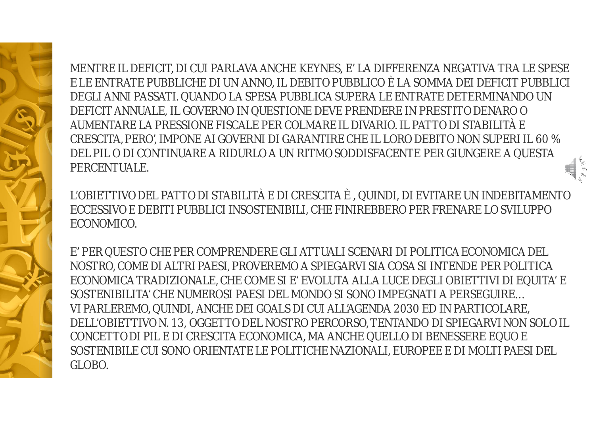MENTRE IL DEFICIT, DI CUI PARLAVA ANCHE KEYNES, E' LA DIFFERENZA NEGATIVA TRA LE SPESE E LE ENTRATE PUBBLICHE DI UN ANNO, IL DEBITO PUBBLICO È LA SOMMA DEI DEFICIT PUBBLICI DEGLI ANNI PASSATI. QUANDO LA SPESA PUBBLICA SUPERA LE ENTRATE DETERMINANDO UN DEFICIT ANNUALE, IL GOVERNO IN QUESTIONE DEVE PRENDERE IN PRESTITO DENARO O AUMENTARE LA PRESSIONE FISCALE PER COLMARE IL DIVARIO. IL PATTO DI STABILITÀ E CRESCITA, PERO', IMPONE AI GOVERNI DI GARANTIRE CHE IL LORO DEBITO NON SUPERI IL 60 % DEL PIL O DI CONTINUARE A RIDURLO A UN RITMO SODDISFACENTE PER GIUNGERE A QUESTA PERCENTUALE.

L'OBIETTIVO DEL PATTO DI STABILITÀ E DI CRESCITA È , QUINDI, DI EVITARE UN INDEBITAMENTO ECCESSIVO E DEBITI PUBBLICI INSOSTENIBILI, CHE FINIREBBERO PER FRENARE LO SVILUPPO ECONOMICO.

E' PER QUESTO CHE PER COMPRENDERE GLI ATTUALI SCENARI DI POLITICA ECONOMICA DEL NOSTRO, COME DI ALTRI PAESI, PROVEREMO A SPIEGARVI SIA COSA SI INTENDE PER POLITICA ECONOMICA TRADIZIONALE, CHE COME SI E' EVOLUTA ALLA LUCE DEGLI OBIETTIVI DI EQUITA' E SOSTENIBILITA' CHE NUMEROSI PAESI DEL MONDO SI SONO IMPEGNATI A PERSEGUIRE… VI PARLEREMO, QUINDI, ANCHE DEI GOALS DI CUI ALL'AGENDA 2030 ED IN PARTICOLARE, DELL'OBIETTIVO N. 13, OGGETTO DEL NOSTRO PERCORSO, TENTANDO DI SPIEGARVI NON SOLO IL CONCETTO DI PIL E DI CRESCITA ECONOMICA, MA ANCHE QUELLO DI BENESSERE EQUO E SOSTENIBILE CUI SONO ORIENTATE LE POLITICHE NAZIONALI, EUROPEE E DI MOLTI PAESI DEL GLOBO.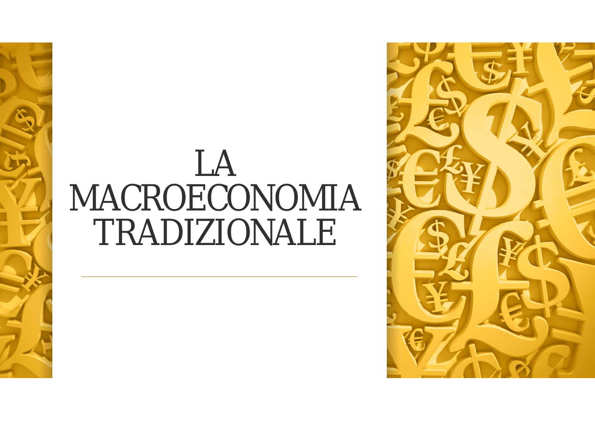### LA MACROECONOMIA TRADIZIONALE

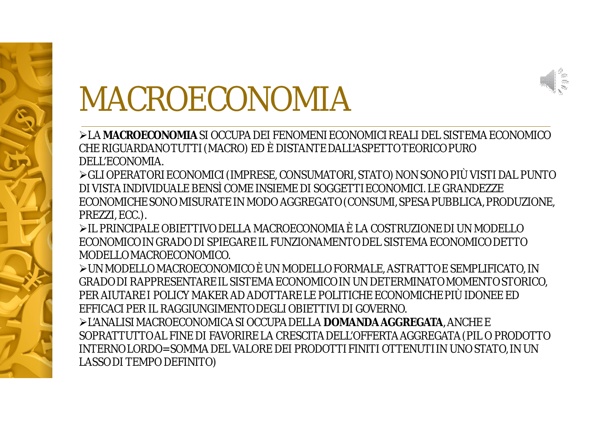

### MACROECONOMIA

>LA MACROECONOMIA SI OCCUPA DEI FENOMENI ECONOMICI REAL LDEL SISTEMA FCONOMICO CHE RIGUARDANO TUTTI (MACRO) ED È DISTANTE DALL'ASPETTO TEORICO PURO DELL'ECONOMIA

≻GLI OPERATORI ECONOMICI (IMPRESE, CONSUMATORI, STATO) NON SONO PIÙ VISTI DAL PUNTO DI VISTA INDIVIDUALE BENSÌ COME INSIEME DI SOGGETTI ECONOMICI. LE GRANDEZZE ECONOMICHE SONO MISURATE IN MODO AGGREGATO (CONSUMI, SPESA PUBBLICA, PRODUZIONE, PREZZI, ECC.).

EL PRINCIPALE OBIETTIVO DELLA MACROECONOMIA È I A COSTRUZIONE DI UN MODELLO ECONOMICO IN GRADO DI SPIEGARE IL FUNZIONAMENTO DEL SISTEMA ECONOMICO DETTO MODELLOMACROECONOMICO.

> UN MODELLO MACROECONOMICO È UN MODELLO FORMALE, ASTRATTO E SEMPLIFICATO, IN GRADO DI RAPPRESENTARE IL SISTEMA ECONOMICO IN UN DETERMINATO MOMENTO STORICO. PER AIUTARE I POLICY MAKER AD ADOTTARE LE POLITICHE ECONOMICHE PIÙ IDONEE ED EFFICACI PER IL RAGGIUNGIMENTO DEGLI OBIETTIVI DI GOVERNO.

E L'ANALISI MACROECONOMICA SI OCCUPA DELLA DOMANDA AGGREGATA, ANCHE E SOPRATTUTTO AL FINE DI FAVORIRE LA CRESCITA DELL'OFFERTA AGGREGATA (PIL O PRODOTTO INTERNO LORDO= SOMMA DEL VALORE DEI PRODOTTI FINITI OTTENUTI IN UNO STATO. IN UN LASSO DI TEMPO DEFINITO)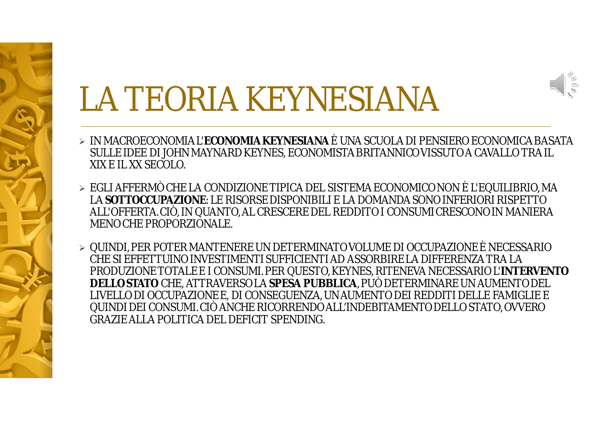

## LA TEORIA KEYNESIANA

- > IN MACROECONOMIA L'ECONOMIA KEYNESIANA È UNA SCUOLA DI PENSIERO ECONOMICA BASATA SULLE IDEE DI JOHN MAYNARD KEYNES, ECONOMISTA BRITANNICO VISSUTO A CAVALLO TRA IL XIX F II XX SECOLO
- $\triangleright$  EGLI AFFERMÒ CHE LA CONDIZIONE TIPICA DEL SISTEMA ECONOMICO NON È L'EQUILIBRIO, MA LA SOTTOCCUPAZIONE: LE RISORSE DISPONIBILI E LA DOMANDA SONO INFERIORI RISPETTO ALL'OFFERTA. CIÒ, IN QUANTO, AL CRESCERE DEL REDDITO I CONSUMI CRESCONO IN MANIERA MENO CHE PROPORZIONALE.
- ► QUINDI, PER POTER MANTENERE UN DETERMINATO VOLUME DI OCCUPAZIONE È NECESSARIO CHE SI FFFFTTUINO INVESTIMENTI SUFFICIENTI AD ASSORBIRE LA DIFFFRENZA TRA LA PRODUZIONE TOTALE E I CONSUMI. PER QUESTO, KEYNES, RITENEVA NECESSARIO L'INTERVENTO DELLO STATO CHE, ATTRAVERSO LA SPESA PUBBLICA, PUÒ DETERMINARE UN AUMENTO DEL LIVELLO DI OCCUPAZIONE E, DI CONSEGUENZA, UN AUMENTO DEI REDDITI DELLE FAMIGLIE E QUINDI DEI CONSUMI. CIÒ ANCHE RICORRENDO ALL'INDEBITAMENTO DELLO STATO, OVVERO **GRAZIE ALLA POLITICA DEL DEFICIT SPENDING.**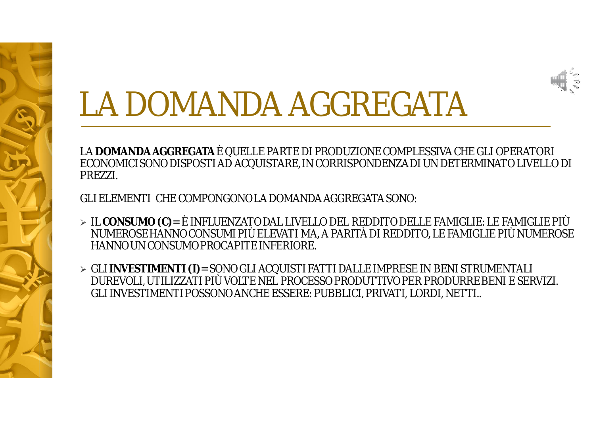

# LA DOMANDA AGGREGATA

LA **DOMANDA AGGREGATA** È QUELLE PARTE DI PRODUZIONE COMPLESSIVA CHE GLI OPERATORI ECONOMICI SONO DISPOSTI AD ACQUISTARE, IN CORRISPONDENZA DI UN DETERMINATO LIVELLO DI PREZZI.

GLI ELEMENTI CHE COMPONGONO LA DOMANDA AGGREGATA SONO:

- IL **CONSUMO (C)**= È INFLUENZATO DAL LIVELLO DEL REDDITO DELLE FAMIGLIE: LE FAMIGLIE PIÙ NUMEROSE HANNO CONSUMI PIÙ ELEVATI MA, A PARITÀ DI REDDITO, LE FAMIGLIE PIÙ NUMEROSE HANNO UN CONSUMO PROCAPITE INFERIORE.
- GLI **INVESTIMENTI (I)**= SONO GLI ACQUISTI FATTI DALLE IMPRESE IN BENI STRUMENTALI DUREVOLI, UTILIZZATI PIÙ VOLTE NEL PROCESSO PRODUTTIVO PER PRODURRE BENI E SERVIZI. GLI INVESTIMENTI POSSONO ANCHE ESSERE: PUBBLICI, PRIVATI, LORDI, NETTI..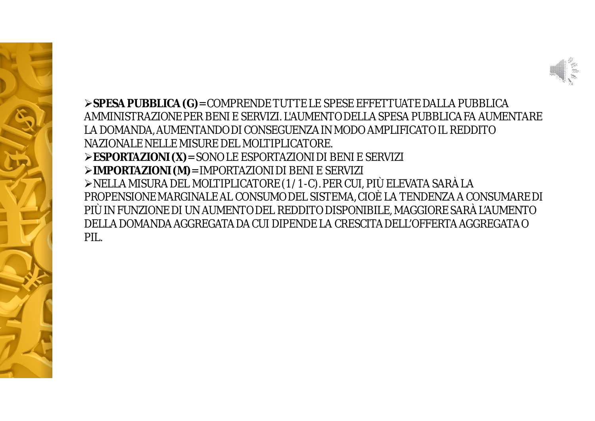

**SPESA PUBBLICA (G)**= COMPRENDE TUTTE LE SPESE EFFETTUATE DALLA PUBBLICA AMMINISTRAZIONE PER BENI E SERVIZI. L'AUMENTO DELLA SPESA PUBBLICA FA AUMENTARE LA DOMANDA, AUMENTANDO DI CONSEGUENZA IN MODO AMPLIFICATO IL REDDITO NAZIONALE NELLE MISURE DEL MOLTIPLICATORE. **ESPORTAZIONI (X)**= SONO LE ESPORTAZIONI DI BENI E SERVIZI **IMPORTAZIONI (M)**= IMPORTAZIONI DI BENI E SERVIZI NELLA MISURA DEL MOLTIPLICATORE (1/1-C). PER CUI, PIÙ ELEVATA SARÀ LA PROPENSIONE MARGINALE AL CONSUMO DEL SISTEMA, CIOÈ LA TENDENZA A CONSUMARE DI PIÙ IN FUNZIONE DI UN AUMENTO DEL REDDITO DISPONIBILE, MAGGIORE SARÀ L'AUMENTO DELLA DOMANDA AGGREGATA DA CUI DIPENDE LA CRESCITA DELL'OFFERTA AGGREGATA O PIL.

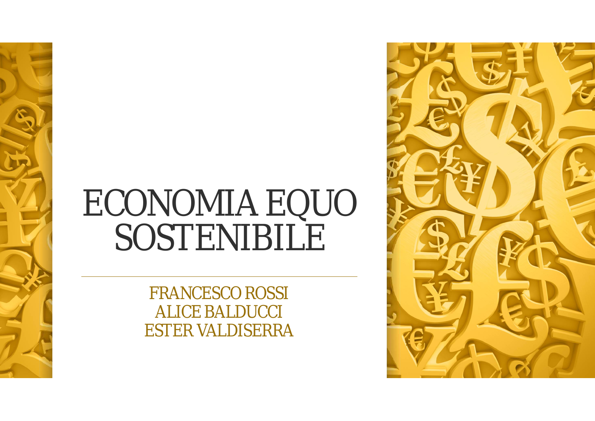## **ECONOMIA EQUO** SOSTENIBILE

**FRANCESCO ROSSI ALICE BALDUCCI ESTER VALDISERRA** 

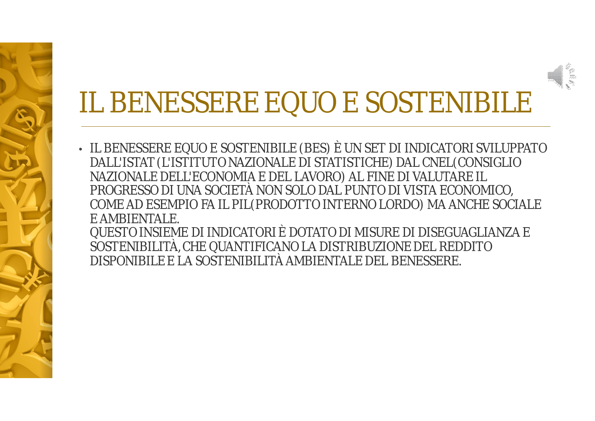#### IL BENESSERE EQUO E SOSTENIBILE

• IL BENESSERE EQUO E SOSTENIBILE (BES) È UN SET DI INDICATORI SVILUPPATO DALL'ISTAT (L'ISTITUTO NAZIONALE DI STATISTICHE) DAL CNEL(CONSIGLIO NAZIONALE DELL'ECONOMIA E DEL LAVORO) AL FINE DI VALUTARE IL PROGRESSO DI UNA SOCIETÀ NON SOLO DAL PUNTO DI VISTA ECONOMICO, COME AD ESEMPIO FA IL PIL(PRODOTTO INTERNO LORDO) MA ANCHE SOCIALE E AMBIENTALE.

QUESTO INSIEME DI INDICATORI È DOTATO DI MISURE DI DISEGUAGLIANZA E SOSTENIBILITÀ, CHE QUANTIFICANO LA DISTRIBUZIONE DEL REDDITO DISPONIBILE E LA SOSTENIBILITÀ AMBIENTALE DEL BENESSERE.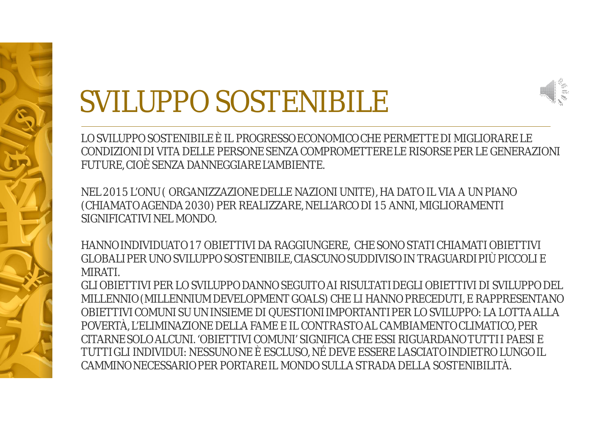#### **SVILUPPO SOSTENIBILE**



NEL 2015 L'ONU (ORGANIZZAZIONE DELLE NAZIONI UNITE), HA DATO IL VIA A UN PIANO (CHIAMATO AGENDA 2030) PER REALIZZARE, NELL'ARCO DI 15 ANNI, MIGLIORAMENTI SIGNIFICATIVI NEL MONDO.

HANNO INDIVIDUATO 17 OBIETTIVI DA RAGGIUNGERE, CHE SONO STATI CHIAMATI OBIETTIVI GLOBALI PER UNO SVILUPPO SOSTENIBILE, CIASCUNO SUDDIVISO IN TRAGUARDI PIÙ PICCOLI E **MIRATI** 

GLI OBIETTIVI PER LO SVILUPPO DANNO SEGUITO AI RISULTATI DEGLI OBIETTIVI DI SVILUPPO DEL MILLENNIO (MILLENNIUM DEVELOPMENT GOALS) CHE LI HANNO PRECEDUTI, E RAPPRESENTANO OBIETTIVI COMUNI SU UN INSIEME DI QUESTIONI IMPORTANTI PER LO SVILUPPO: LA LOTTA ALLA POVERTÀ, L'ELIMINAZIONE DELLA FAME E IL CONTRASTO AL CAMBIAMENTO CLIMATICO, PER CITARNE SOLO ALCUNI, 'OBIETTIVI COMUNI' SIGNIFICA CHE ESSI RIGUARDANO TUTTI I PAESI F TUTTI GLI INDIVIDUI: NESSUNO NE È ESCLUSO, NÉ DEVE ESSERE LASCIATO INDIETRO LUNGO IL CAMMINO NECESSARIO PER PORTARE IL MONDO SULLA STRADA DELLA SOSTENIBILITÀ.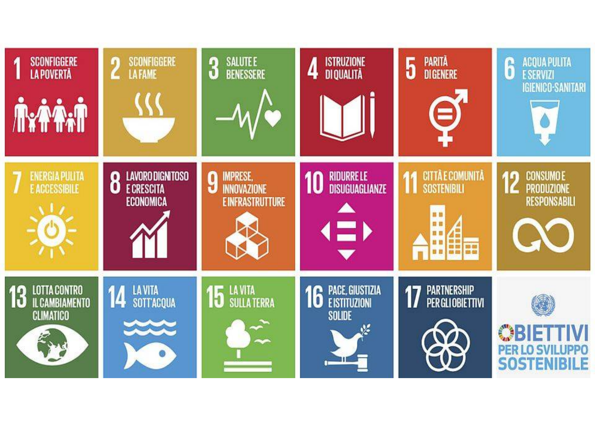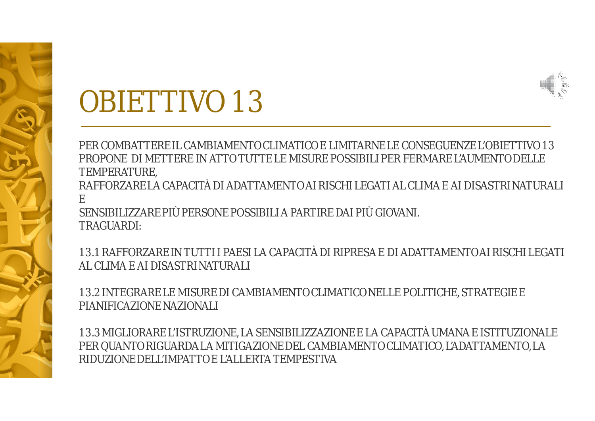

#### OBIETTIVO 13

PER COMBATTERE IL CAMBIAMENTO CLIMATICO E LIMITARNE LE CONSEGUENZE L'OBIETTIVO 13 PROPONE DI METTERE IN ATTO TUTTE LE MISURE POSSIBILI PER FERMARE L'AUMENTO DELLE TEMPERATURE,

RAFFORZARE LA CAPACITÀ DI ADATTAMENTO AI RISCHI LEGATI AL CLIMA E AI DISASTRI NATURALI E

SENSIBILIZZARE PIÙ PERSONE POSSIBILI A PARTIRE DAI PIÙ GIOVANI. TRAGUARDI:

13.1 RAFFORZARE IN TUTTI I PAESI LA CAPACITÀ DI RIPRESA E DI ADATTAMENTO AI RISCHI LEGATI AL CLIMA E AI DISASTRI NATURALI

13.2 INTEGRARE LE MISURE DI CAMBIAMENTO CLIMATICO NELLE POLITICHE, STRATEGIE E PIANIFICAZIONE NAZIONALI

13.3 MIGLIORARE L'ISTRUZIONE, LA SENSIBILIZZAZIONE E LA CAPACITÀ UMANA E ISTITUZIONALE PER QUANTO RIGUARDA LA MITIGAZIONE DEL CAMBIAMENTO CLIMATICO, L'ADATTAMENTO, LA RIDUZIONE DELL'IMPATTO E L'ALLERTA TEMPESTIVA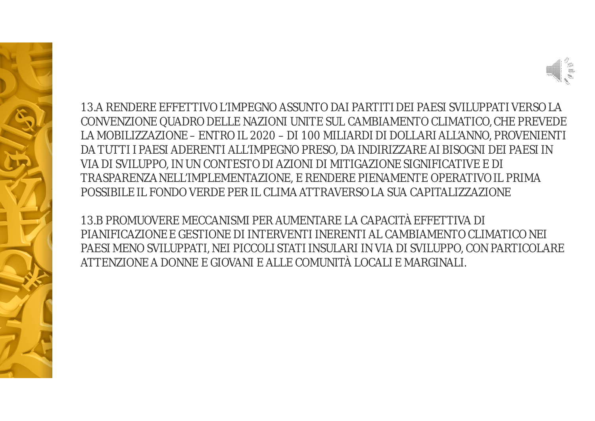

13.A RENDERE EFFETTIVO L'IMPEGNO ASSUNTO DAI PARTITI DEI PAESI SVILUPPATI VERSO LA CONVENZIONE QUADRO DELLE NAZIONI UNITE SUL CAMBIAMENTO CLIMATICO, CHE PREVEDE LA MOBILIZZAZIONE – ENTRO IL 2020 – DI 100 MILIARDI DI DOLLARI ALL'ANNO, PROVENIENTI DA TUTTI I PAESI ADERENTI ALL'IMPEGNO PRESO, DA INDIRIZZARE AI BISOGNI DEI PAESI IN VIA DI SVILUPPO, IN UN CONTESTO DI AZIONI DI MITIGAZIONE SIGNIFICATIVE E DI TRASPARENZA NELL'IMPLEMENTAZIONE, E RENDERE PIENAMENTE OPERATIVO IL PRIMA POSSIBILE IL FONDO VERDE PER IL CLIMA ATTRAVERSO LA SUA CAPITALIZZAZIONE

13.B PROMUOVERE MECCANISMI PER AUMENTARE LA CAPACITÀ EFFETTIVA DI PIANIFICAZIONE E GESTIONE DI INTERVENTI INERENTI AL CAMBIAMENTO CLIMATICO NEI PAESI MENO SVILUPPATI, NEI PICCOLI STATI INSULARI IN VIA DI SVILUPPO, CON PARTICOLARE ATTENZIONE A DONNE E GIOVANI E ALLE COMUNITÀ LOCALI E MARGINALI.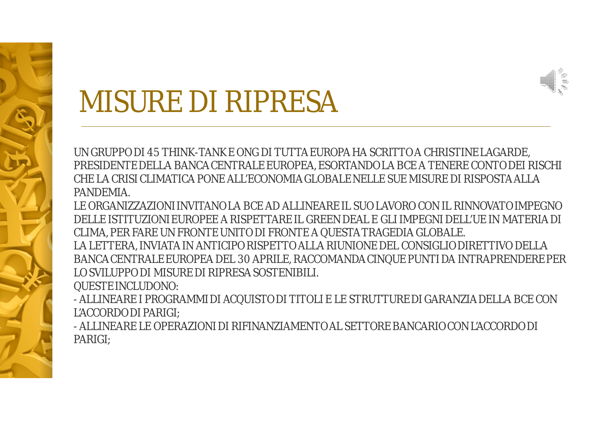

#### MISURE DI RIPRESA

UN GRUPPO DI 45 THINK-TANK E ONG DI TUTTA EUROPA HA SCRITTO A CHRISTINE LAGARDE, PRESIDENTE DELLA BANCA CENTRALE EUROPEA, ESORTANDO LA BCE A TENERE CONTO DEI RISCHI CHE LA CRISI CLIMATICA PONE ALL'ECONOMIA GLOBALE NELLE SUE MISURE DI RISPOSTA ALLA PANDEMIA.

LE ORGANIZZAZIONI INVITANO LA BCE AD ALLINEARE IL SUO LAVORO CON IL RINNOVATO IMPEGNO DELLE ISTITUZIONI EUROPEE A RISPETTARE IL GREEN DEAL E GLI IMPEGNI DELL'UE IN MATERIA DI CLIMA, PER FARE UN FRONTE UNITO DI FRONTE A QUESTA TRAGEDIA GLOBALE. LA LETTERA, INVIATA IN ANTICIPO RISPETTO ALLA RIUNIONE DEL CONSIGLIO DIRETTIVO DELLA BANCA CENTRALE EUROPEA DEL 30 APRILE, RACCOMANDA CINQUE PUNTI DA INTRAPRENDERE PER LO SVILUPPO DI MISURE DI RIPRESA SOSTENIBILI.

QUESTE INCLUDONO:

- ALLINEARE I PROGRAMMI DI ACQUISTO DI TITOLI E LE STRUTTURE DI GARANZIA DELLA BCE CON L'ACCORDO DI PARIGI;

- ALLINEARE LE OPERAZIONI DI RIFINANZIAMENTO AL SETTORE BANCARIO CON L'ACCORDO DI PARIGI;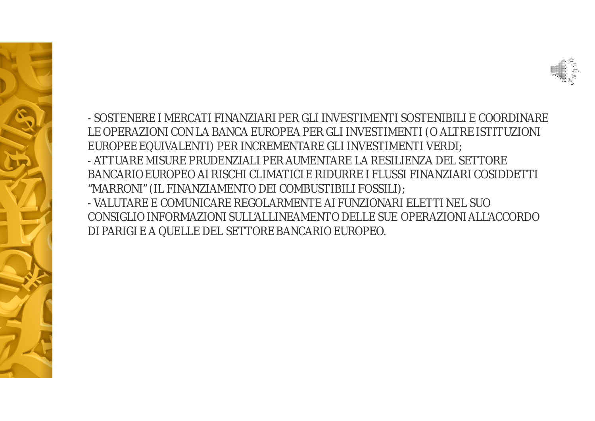



- SOSTENERE I MERCATI FINANZIARI PER GLI INVESTIMENTI SOSTENIBILI E COORDINARE LE OPERAZIONI CON LA BANCA EUROPEA PER GLI INVESTIMENTI (O ALTRE ISTITUZIONI EUROPEE EQUIVALENTI) PER INCREMENTARE GLI INVESTIMENTI VERDI; - ATTUARE MISURE PRUDENZIALI PER AUMENTARE LA RESILIENZA DEL SETTORE BANCARIO EUROPEO AI RISCHI CLIMATICI E RIDURRE I FLUSSI FINANZIARI COSIDDETTI "MARRONI" (IL FINANZIAMENTO DEI COMBUSTIBILI FOSSILI); - VALUTARE E COMUNICARE REGOLARMENTE AI FUNZIONARI ELETTI NEL SUO CONSIGLIO INFORMAZIONI SULL'ALLINEAMENTO DELLE SUE OPERAZIONI ALL'ACCORDO DI PARIGI E A QUELLE DEL SETTORE BANCARIO EUROPEO.